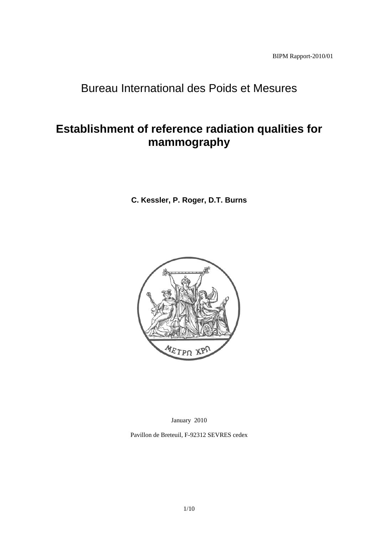# Bureau International des Poids et Mesures

# **Establishment of reference radiation qualities for mammography**

**C. Kessler, P. Roger, D.T. Burns**



January 2010

Pavillon de Breteuil, F-92312 SEVRES cedex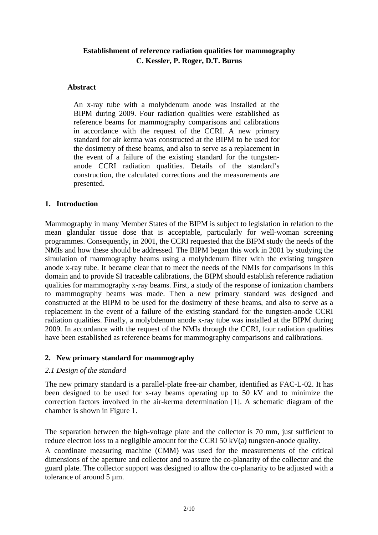# **Establishment of reference radiation qualities for mammography C. Kessler, P. Roger, D.T. Burns**

#### **Abstract**

An x-ray tube with a molybdenum anode was installed at the BIPM during 2009. Four radiation qualities were established as reference beams for mammography comparisons and calibrations in accordance with the request of the CCRI. A new primary standard for air kerma was constructed at the BIPM to be used for the dosimetry of these beams, and also to serve as a replacement in the event of a failure of the existing standard for the tungstenanode CCRI radiation qualities. Details of the standard's construction, the calculated corrections and the measurements are presented.

#### **1. Introduction**

Mammography in many Member States of the BIPM is subject to legislation in relation to the mean glandular tissue dose that is acceptable, particularly for well-woman screening programmes. Consequently, in 2001, the CCRI requested that the BIPM study the needs of the NMIs and how these should be addressed. The BIPM began this work in 2001 by studying the simulation of mammography beams using a molybdenum filter with the existing tungsten anode x-ray tube. It became clear that to meet the needs of the NMIs for comparisons in this domain and to provide SI traceable calibrations, the BIPM should establish reference radiation qualities for mammography x-ray beams. First, a study of the response of ionization chambers to mammography beams was made. Then a new primary standard was designed and constructed at the BIPM to be used for the dosimetry of these beams, and also to serve as a replacement in the event of a failure of the existing standard for the tungsten-anode CCRI radiation qualities. Finally, a molybdenum anode x-ray tube was installed at the BIPM during 2009. In accordance with the request of the NMIs through the CCRI, four radiation qualities have been established as reference beams for mammography comparisons and calibrations.

# **2. New primary standard for mammography**

#### *2.1 Design of the standard*

The new primary standard is a parallel-plate free-air chamber, identified as FAC-L-02. It has been designed to be used for x-ray beams operating up to 50 kV and to minimize the correction factors involved in the air-kerma determination [1]. A schematic diagram of the chamber is shown in Figure 1.

The separation between the high-voltage plate and the collector is 70 mm, just sufficient to reduce electron loss to a negligible amount for the CCRI 50 kV(a) tungsten-anode quality.

A coordinate measuring machine (CMM) was used for the measurements of the critical dimensions of the aperture and collector and to assure the co-planarity of the collector and the guard plate. The collector support was designed to allow the co-planarity to be adjusted with a tolerance of around 5 µm.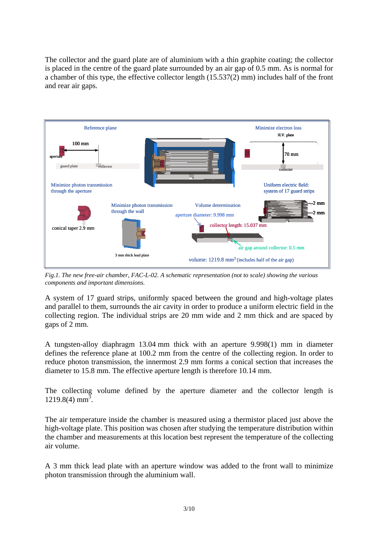The collector and the guard plate are of aluminium with a thin graphite coating; the collector is placed in the centre of the guard plate surrounded by an air gap of 0.5 mm. As is normal for a chamber of this type, the effective collector length (15.537(2) mm) includes half of the front and rear air gaps.



*Fig.1. The new free-air chamber, FAC-L-02. A schematic representation (not to scale) showing the various components and important dimensions.* 

A system of 17 guard strips, uniformly spaced between the ground and high-voltage plates and parallel to them, surrounds the air cavity in order to produce a uniform electric field in the collecting region. The individual strips are 20 mm wide and 2 mm thick and are spaced by gaps of 2 mm.

A tungsten-alloy diaphragm 13.04 mm thick with an aperture 9.998(1) mm in diameter defines the reference plane at 100.2 mm from the centre of the collecting region. In order to reduce photon transmission, the innermost 2.9 mm forms a conical section that increases the diameter to 15.8 mm. The effective aperture length is therefore 10.14 mm.

The collecting volume defined by the aperture diameter and the collector length is  $1219.8(4)$  mm<sup>3</sup>.

The air temperature inside the chamber is measured using a thermistor placed just above the high-voltage plate. This position was chosen after studying the temperature distribution within the chamber and measurements at this location best represent the temperature of the collecting air volume.

A 3 mm thick lead plate with an aperture window was added to the front wall to minimize photon transmission through the aluminium wall.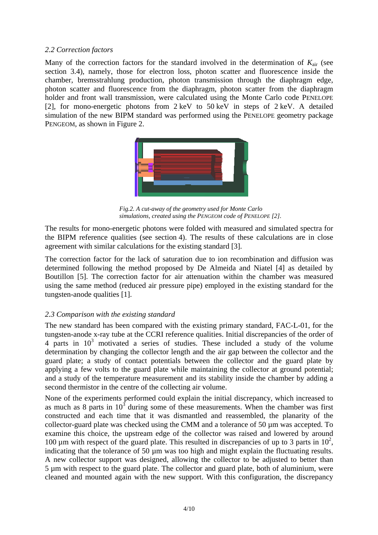#### *2.2 Correction factors*

Many of the correction factors for the standard involved in the determination of *K*air (see section 3.4), namely, those for electron loss, photon scatter and fluorescence inside the chamber, bremsstrahlung production, photon transmission through the diaphragm edge, photon scatter and fluorescence from the diaphragm, photon scatter from the diaphragm holder and front wall transmission, were calculated using the Monte Carlo code PENELOPE [2], for mono-energetic photons from 2 keV to 50 keV in steps of 2 keV. A detailed simulation of the new BIPM standard was performed using the PENELOPE geometry package PENGEOM, as shown in Figure 2.



*Fig.2. A cut-away of the geometry used for Monte Carlo simulations, created using the PENGEOM code of PENELOPE [2].*

The results for mono-energetic photons were folded with measured and simulated spectra for the BIPM reference qualities (see section 4). The results of these calculations are in close agreement with similar calculations for the existing standard [3].

The correction factor for the lack of saturation due to ion recombination and diffusion was determined following the method proposed by De Almeida and Niatel [4] as detailed by Boutillon [5]. The correction factor for air attenuation within the chamber was measured using the same method (reduced air pressure pipe) employed in the existing standard for the tungsten-anode qualities [1].

# *2.3 Comparison with the existing standard*

The new standard has been compared with the existing primary standard, FAC-L-01, for the tungsten-anode x-ray tube at the CCRI reference qualities. Initial discrepancies of the order of  $4$  parts in  $10<sup>3</sup>$  motivated a series of studies. These included a study of the volume determination by changing the collector length and the air gap between the collector and the guard plate; a study of contact potentials between the collector and the guard plate by applying a few volts to the guard plate while maintaining the collector at ground potential; and a study of the temperature measurement and its stability inside the chamber by adding a second thermistor in the centre of the collecting air volume.

None of the experiments performed could explain the initial discrepancy, which increased to as much as 8 parts in  $10^3$  during some of these measurements. When the chamber was first constructed and each time that it was dismantled and reassembled, the planarity of the collector-guard plate was checked using the CMM and a tolerance of 50 µm was accepted. To examine this choice, the upstream edge of the collector was raised and lowered by around 100  $\mu$ m with respect of the guard plate. This resulted in discrepancies of up to 3 parts in 10<sup>2</sup>, indicating that the tolerance of 50 µm was too high and might explain the fluctuating results. A new collector support was designed, allowing the collector to be adjusted to better than 5 µm with respect to the guard plate. The collector and guard plate, both of aluminium, were cleaned and mounted again with the new support. With this configuration, the discrepancy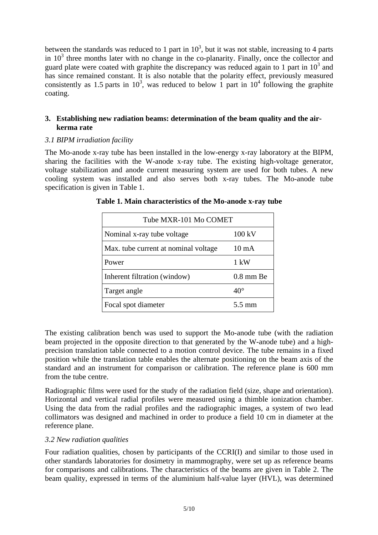between the standards was reduced to 1 part in  $10^3$ , but it was not stable, increasing to 4 parts in  $10<sup>3</sup>$  three months later with no change in the co-planarity. Finally, once the collector and guard plate were coated with graphite the discrepancy was reduced again to 1 part in  $10<sup>3</sup>$  and has since remained constant. It is also notable that the polarity effect, previously measured consistently as 1.5 parts in  $10^3$ , was reduced to below 1 part in  $10^4$  following the graphite coating.

# **3. Establishing new radiation beams: determination of the beam quality and the airkerma rate**

# *3.1 BIPM irradiation facility*

The Mo-anode x-ray tube has been installed in the low-energy x-ray laboratory at the BIPM, sharing the facilities with the W-anode x-ray tube. The existing high-voltage generator, voltage stabilization and anode current measuring system are used for both tubes. A new cooling system was installed and also serves both x-ray tubes. The Mo-anode tube specification is given in Table 1.

| Tube MXR-101 Mo COMET                 |                 |  |
|---------------------------------------|-----------------|--|
| Nominal x-ray tube voltage            | 100 kV          |  |
| Max. tube current at nominal voltage. | $10 \text{ mA}$ |  |
| Power                                 | $1 \text{ kW}$  |  |
| Inherent filtration (window)          | $0.8$ mm Be     |  |
| Target angle                          | $40^{\circ}$    |  |
| Focal spot diameter                   | 5.5 mm          |  |

The existing calibration bench was used to support the Mo-anode tube (with the radiation beam projected in the opposite direction to that generated by the W-anode tube) and a highprecision translation table connected to a motion control device. The tube remains in a fixed position while the translation table enables the alternate positioning on the beam axis of the standard and an instrument for comparison or calibration. The reference plane is 600 mm from the tube centre.

Radiographic films were used for the study of the radiation field (size, shape and orientation). Horizontal and vertical radial profiles were measured using a thimble ionization chamber. Using the data from the radial profiles and the radiographic images, a system of two lead collimators was designed and machined in order to produce a field 10 cm in diameter at the reference plane.

# *3.2 New radiation qualities*

Four radiation qualities, chosen by participants of the CCRI(I) and similar to those used in other standards laboratories for dosimetry in mammography, were set up as reference beams for comparisons and calibrations. The characteristics of the beams are given in Table 2. The beam quality, expressed in terms of the aluminium half-value layer (HVL), was determined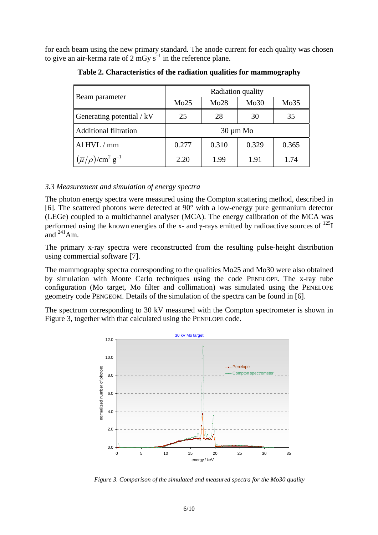for each beam using the new primary standard. The anode current for each quality was chosen to give an air-kerma rate of 2 mGy  $s^{-1}$  in the reference plane.

| Beam parameter                                     | Radiation quality |       |       |       |
|----------------------------------------------------|-------------------|-------|-------|-------|
|                                                    | Mo25              | Mo28  | Mo30  | Mo35  |
| Generating potential / kV                          | 25                | 28    | 30    | 35    |
| <b>Additional filtration</b>                       | $30 \mu m$ Mo     |       |       |       |
| Al HVL / mm                                        | 0.277             | 0.310 | 0.329 | 0.365 |
| $(\overline{\mu}/\rho)/\text{cm}^2 \text{ g}^{-1}$ | 2.20              | 1.99  | 1.91  | 1.74  |

**Table 2. Characteristics of the radiation qualities for mammography** 

#### *3.3 Measurement and simulation of energy spectra*

The photon energy spectra were measured using the Compton scattering method, described in [6]. The scattered photons were detected at 90° with a low-energy pure germanium detector (LEGe) coupled to a multichannel analyser (MCA). The energy calibration of the MCA was performed using the known energies of the x- and  $\gamma$ -rays emitted by radioactive sources of  $^{125}I$ and  $^{241}$ Am.

The primary x-ray spectra were reconstructed from the resulting pulse-height distribution using commercial software [7].

The mammography spectra corresponding to the qualities Mo25 and Mo30 were also obtained by simulation with Monte Carlo techniques using the code PENELOPE. The x-ray tube configuration (Mo target, Mo filter and collimation) was simulated using the PENELOPE geometry code PENGEOM. Details of the simulation of the spectra can be found in [6].

The spectrum corresponding to 30 kV measured with the Compton spectrometer is shown in Figure 3, together with that calculated using the PENELOPE code.



 *Figure 3. Comparison of the simulated and measured spectra for the Mo30 quality*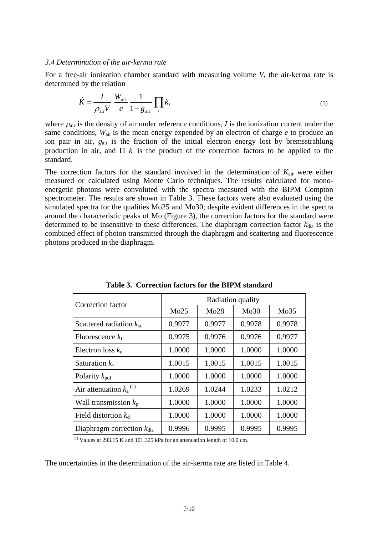#### *3.4 Determination of the air-kerma rate*

For a free-air ionization chamber standard with measuring volume *V*, the air-kerma rate is determined by the relation

$$
\dot{K} = \frac{I}{\rho_{\text{air}} V} \frac{W_{\text{air}}}{e} \frac{1}{1 - g_{\text{air}}} \prod_{i} k_{i}
$$
\n(1)

where  $\rho_{\text{air}}$  is the density of air under reference conditions, *I* is the ionization current under the same conditions,  $W_{air}$  is the mean energy expended by an electron of charge *e* to produce an ion pair in air,  $g_{air}$  is the fraction of the initial electron energy lost by bremsstrahlung production in air, and  $\Pi$   $k_i$  is the product of the correction factors to be applied to the standard.

The correction factors for the standard involved in the determination of  $K_{\text{air}}$  were either measured or calculated using Monte Carlo techniques. The results calculated for monoenergetic photons were convoluted with the spectra measured with the BIPM Compton spectrometer. The results are shown in Table 3. These factors were also evaluated using the simulated spectra for the qualities Mo25 and Mo30; despite evident differences in the spectra around the characteristic peaks of Mo (Figure 3), the correction factors for the standard were determined to be insensitive to these differences. The diaphragm correction factor  $k_{dia}$  is the combined effect of photon transmitted through the diaphragm and scattering and fluorescence photons produced in the diaphragm.

| Correction factor                     | Radiation quality |        |        |        |
|---------------------------------------|-------------------|--------|--------|--------|
|                                       | Mo25              | Mo28   | Mo30   | Mo35   |
| Scattered radiation $k_{\rm sc}$      | 0.9977            | 0.9977 | 0.9978 | 0.9978 |
| Fluorescence $k_{fl}$                 | 0.9975            | 0.9976 | 0.9976 | 0.9977 |
| Electron loss $k_e$                   | 1.0000            | 1.0000 | 1.0000 | 1.0000 |
| Saturation $k_s$                      | 1.0015            | 1.0015 | 1.0015 | 1.0015 |
| Polarity $k_{pol}$                    | 1.0000            | 1.0000 | 1.0000 | 1.0000 |
| Air attenuation $k_a$ <sup>(1)</sup>  | 1.0269            | 1.0244 | 1.0233 | 1.0212 |
| Wall transmission $k_p$               | 1.0000            | 1.0000 | 1.0000 | 1.0000 |
| Field distortion $k_d$                | 1.0000            | 1.0000 | 1.0000 | 1.0000 |
| Diaphragm correction $k_{\text{dia}}$ | 0.9996            | 0.9995 | 0.9995 | 0.9995 |

**Table 3. Correction factors for the BIPM standard** 

 $(1)$  Values at 293.15 K and 101.325 kPa for an attenuation length of 10.0 cm.

The uncertainties in the determination of the air-kerma rate are listed in Table 4.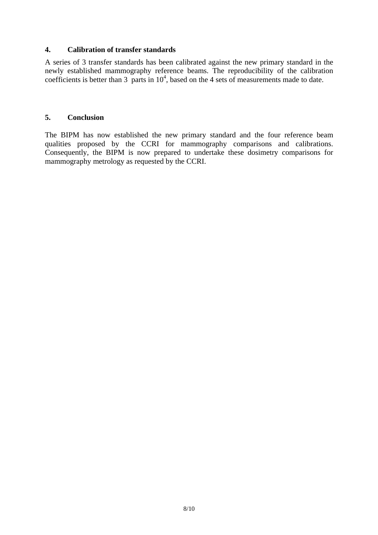# **4. Calibration of transfer standards**

A series of 3 transfer standards has been calibrated against the new primary standard in the newly established mammography reference beams. The reproducibility of the calibration coefficients is better than 3 parts in  $10<sup>4</sup>$ , based on the 4 sets of measurements made to date.

#### **5. Conclusion**

The BIPM has now established the new primary standard and the four reference beam qualities proposed by the CCRI for mammography comparisons and calibrations. Consequently, the BIPM is now prepared to undertake these dosimetry comparisons for mammography metrology as requested by the CCRI.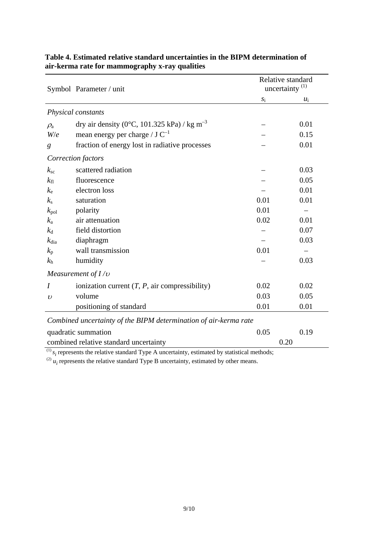|                                                                  | Symbol Parameter / unit                                 | Relative standard<br>uncertainty <sup>(1)</sup> |       |  |
|------------------------------------------------------------------|---------------------------------------------------------|-------------------------------------------------|-------|--|
|                                                                  |                                                         | $\sqrt{S_1}$                                    | $u_i$ |  |
| Physical constants                                               |                                                         |                                                 |       |  |
| $\rho_{\rm a}$                                                   | dry air density (0°C, 101.325 kPa) / kg m <sup>-3</sup> |                                                 | 0.01  |  |
| W/e                                                              | mean energy per charge / $J C^{-1}$                     |                                                 | 0.15  |  |
| g                                                                | fraction of energy lost in radiative processes          |                                                 | 0.01  |  |
|                                                                  | Correction factors                                      |                                                 |       |  |
| $k_{\rm sc}$                                                     | scattered radiation                                     |                                                 | 0.03  |  |
| $k_{\rm fl}$                                                     | fluorescence                                            |                                                 | 0.05  |  |
| $k_{\rm e}$                                                      | electron loss                                           |                                                 | 0.01  |  |
| $k_{\rm s}$                                                      | saturation                                              | 0.01                                            | 0.01  |  |
| $k_{\rm pol}$                                                    | polarity                                                | 0.01                                            |       |  |
| $k_{\rm a}$                                                      | air attenuation                                         | 0.02                                            | 0.01  |  |
| $k_d$                                                            | field distortion                                        |                                                 | 0.07  |  |
| $k_{\text{dia}}$                                                 | diaphragm                                               |                                                 | 0.03  |  |
| $k_{p}$                                                          | wall transmission                                       | 0.01                                            |       |  |
| $k_{\rm h}$                                                      | humidity                                                |                                                 | 0.03  |  |
| Measurement of $I/v$                                             |                                                         |                                                 |       |  |
| I                                                                | ionization current $(T, P, \text{air compressibility})$ | 0.02                                            | 0.02  |  |
| $\boldsymbol{\upsilon}$                                          | volume                                                  | 0.03                                            | 0.05  |  |
|                                                                  | positioning of standard                                 | 0.01                                            | 0.01  |  |
| Combined uncertainty of the BIPM determination of air-kerma rate |                                                         |                                                 |       |  |
| quadratic summation                                              |                                                         | 0.05                                            | 0.19  |  |
| combined relative standard uncertainty                           |                                                         |                                                 | 0.20  |  |

# **Table 4. Estimated relative standard uncertainties in the BIPM determination of air-kerma rate for mammography x-ray qualities**

 $^{(1)}$   $s_i$  represents the relative standard Type A uncertainty, estimated by statistical methods;

 $^{(2)}$   $u_i$  represents the relative standard Type B uncertainty, estimated by other means.